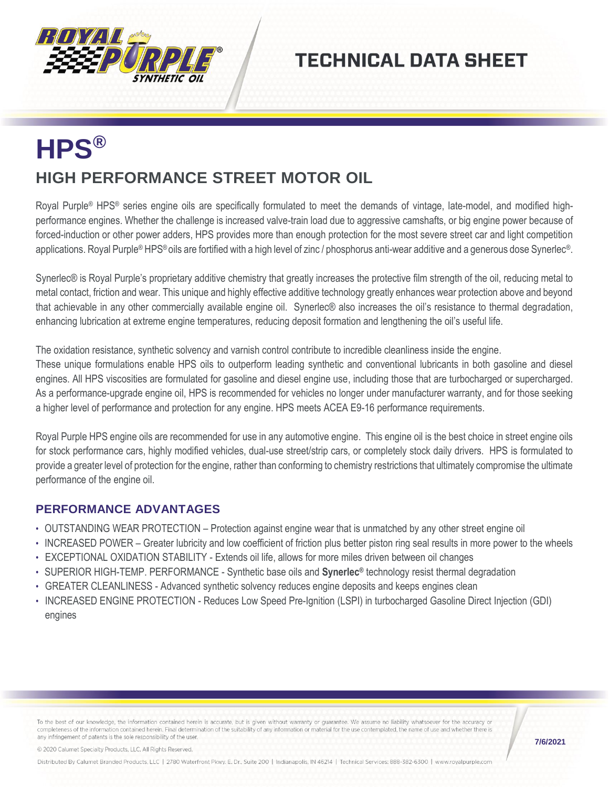

## **TECHNICAL DATA SHEET**

## **HPS® HIGH PERFORMANCE STREET MOTOR OIL**

Royal Purple® HPS® series engine oils are specifically formulated to meet the demands of vintage, late-model, and modified highperformance engines. Whether the challenge is increased valve-train load due to aggressive camshafts, or big engine power because of forced-induction or other power adders, HPS provides more than enough protection for the most severe street car and light competition applications. Royal Purple® HPS® oils are fortified with a high level of zinc / phosphorus anti-wear additive and a generous dose Synerlec®.

Synerlec® is Royal Purple's proprietary additive chemistry that greatly increases the protective film strength of the oil, reducing metal to metal contact, friction and wear. This unique and highly effective additive technology greatly enhances wear protection above and beyond that achievable in any other commercially available engine oil. Synerlec® also increases the oil's resistance to thermal degradation, enhancing lubrication at extreme engine temperatures, reducing deposit formation and lengthening the oil's useful life.

The oxidation resistance, synthetic solvency and varnish control contribute to incredible cleanliness inside the engine.

These unique formulations enable HPS oils to outperform leading synthetic and conventional lubricants in both gasoline and diesel engines. All HPS viscosities are formulated for gasoline and diesel engine use, including those that are turbocharged or supercharged. As a performance-upgrade engine oil, HPS is recommended for vehicles no longer under manufacturer warranty, and for those seeking a higher level of performance and protection for any engine. HPS meets ACEA E9-16 performance requirements.

Royal Purple HPS engine oils are recommended for use in any automotive engine. This engine oil is the best choice in street engine oils for stock performance cars, highly modified vehicles, dual-use street/strip cars, or completely stock daily drivers. HPS is formulated to provide a greater level of protection for the engine, rather than conforming to chemistry restrictions that ultimately compromise the ultimate performance of the engine oil.

## **PERFORMANCE ADVANTAGES**

- OUTSTANDING WEAR PROTECTION Protection against engine wear that is unmatched by any other street engine oil
- INCREASED POWER Greater lubricity and low coefficient of friction plus better piston ring seal results in more power to the wheels
- EXCEPTIONAL OXIDATION STABILITY Extends oil life, allows for more miles driven between oil changes
- SUPERIOR HIGH-TEMP. PERFORMANCE Synthetic base oils and **Synerlec®** technology resist thermal degradation
- GREATER CLEANLINESS Advanced synthetic solvency reduces engine deposits and keeps engines clean
- INCREASED ENGINE PROTECTION Reduces Low Speed Pre-Ignition (LSPI) in turbocharged Gasoline Direct Injection (GDI) engines

To the best of our knowledge, the information contained herein is accurate, but is given without warranty or guarantee. We assume no liability whatsoever for the accuracy or completeness of the information contained herein. Final determination of the suitability of any information or material for the use contemplated, the name of use and whether there is any infringement of patents is the sole responsibility of the user.

© 2020 Calumet Specialty Products, LLC, All Rights Reserved.